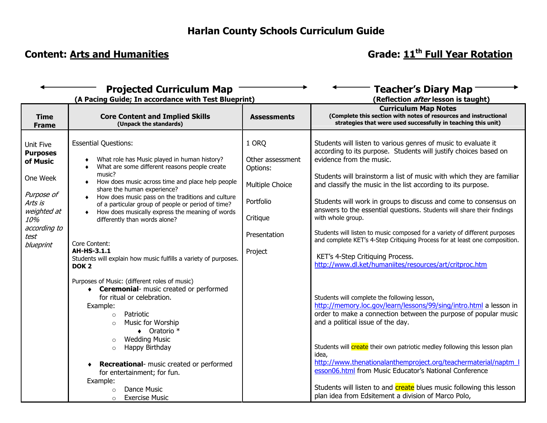# **Content:** Arts and Humanities **Grade:** Content: Arts and Humanities **Grade:** 11<sup>th</sup> Full Year Rotation

| <b>Projected Curriculum Map</b><br>(A Pacing Guide; In accordance with Test Blueprint)                                                   |                                                                                                                                                                                                                                                                                                                                                                                                                                                                                                                                                                   |                                                                                                              | <b>Teacher's Diary Map</b><br>(Reflection <i>after</i> lesson is taught)                                                                                                                                                                                                                                                                                                                                                                                                                                                                                                                                                                                                                                                              |
|------------------------------------------------------------------------------------------------------------------------------------------|-------------------------------------------------------------------------------------------------------------------------------------------------------------------------------------------------------------------------------------------------------------------------------------------------------------------------------------------------------------------------------------------------------------------------------------------------------------------------------------------------------------------------------------------------------------------|--------------------------------------------------------------------------------------------------------------|---------------------------------------------------------------------------------------------------------------------------------------------------------------------------------------------------------------------------------------------------------------------------------------------------------------------------------------------------------------------------------------------------------------------------------------------------------------------------------------------------------------------------------------------------------------------------------------------------------------------------------------------------------------------------------------------------------------------------------------|
| <b>Time</b><br><b>Frame</b>                                                                                                              | <b>Core Content and Implied Skills</b><br>(Unpack the standards)                                                                                                                                                                                                                                                                                                                                                                                                                                                                                                  | <b>Assessments</b>                                                                                           | <b>Curriculum Map Notes</b><br>(Complete this section with notes of resources and instructional<br>strategies that were used successfully in teaching this unit)                                                                                                                                                                                                                                                                                                                                                                                                                                                                                                                                                                      |
| Unit Five<br><b>Purposes</b><br>of Music<br>One Week<br>Purpose of<br>Arts is<br>weighted at<br>10%<br>according to<br>test<br>blueprint | <b>Essential Questions:</b><br>What role has Music played in human history?<br>What are some different reasons people create<br>$\bullet$<br>music?<br>How does music across time and place help people<br>٠<br>share the human experience?<br>How does music pass on the traditions and culture<br>of a particular group of people or period of time?<br>How does musically express the meaning of words<br>differently than words alone?<br>Core Content:<br>AH-HS-3.1.1<br>Students will explain how music fulfills a variety of purposes.<br>DOK <sub>2</sub> | 1 ORQ<br>Other assessment<br>Options:<br>Multiple Choice<br>Portfolio<br>Critique<br>Presentation<br>Project | Students will listen to various genres of music to evaluate it<br>according to its purpose. Students will justify choices based on<br>evidence from the music.<br>Students will brainstorm a list of music with which they are familiar<br>and classify the music in the list according to its purpose.<br>Students will work in groups to discuss and come to consensus on<br>answers to the essential questions. Students will share their findings<br>with whole group.<br>Students will listen to music composed for a variety of different purposes<br>and complete KET's 4-Step Critiquing Process for at least one composition.<br>KET's 4-Step Critiquing Process.<br>http://www.dl.ket/humaniites/resources/art/critproc.htm |
|                                                                                                                                          | Purposes of Music: (different roles of music)<br>• Ceremonial- music created or performed<br>for ritual or celebration.<br>Example:<br>Patriotic<br>$\circ$<br>Music for Worship<br>$\circ$<br>$\bullet$ Oratorio *<br><b>Wedding Music</b><br>$\circ$<br>Happy Birthday<br>$\circ$<br>Recreational- music created or performed<br>for entertainment; for fun.<br>Example:<br>Dance Music<br>$\Omega$<br><b>Exercise Music</b><br>$\Omega$                                                                                                                        |                                                                                                              | Students will complete the following lesson,<br>http://memory.loc.gov/learn/lessons/99/sing/intro.html a lesson in<br>order to make a connection between the purpose of popular music<br>and a political issue of the day.<br>Students will <i>create</i> their own patriotic medley following this lesson plan<br>idea,<br>http://www.thenationalanthemproject.org/teachermaterial/naptm  <br>esson06.html from Music Educator's National Conference<br>Students will listen to and <b>create</b> blues music following this lesson<br>plan idea from Edsitement a division of Marco Polo,                                                                                                                                           |